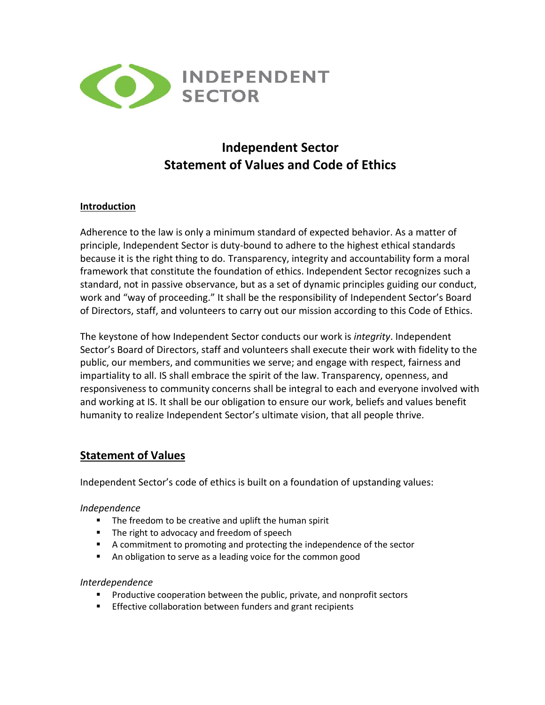

# **Independent Sector Statement of Values and Code of Ethics**

#### **Introduction**

Adherence to the law is only a minimum standard of expected behavior. As a matter of principle, Independent Sector is duty-bound to adhere to the highest ethical standards because it is the right thing to do. Transparency, integrity and accountability form a moral framework that constitute the foundation of ethics. Independent Sector recognizes such a standard, not in passive observance, but as a set of dynamic principles guiding our conduct, work and "way of proceeding." It shall be the responsibility of Independent Sector's Board of Directors, staff, and volunteers to carry out our mission according to this Code of Ethics.

The keystone of how Independent Sector conducts our work is *integrity*. Independent Sector's Board of Directors, staff and volunteers shall execute their work with fidelity to the public, our members, and communities we serve; and engage with respect, fairness and impartiality to all. IS shall embrace the spirit of the law. Transparency, openness, and responsiveness to community concerns shall be integral to each and everyone involved with and working at IS. It shall be our obligation to ensure our work, beliefs and values benefit humanity to realize Independent Sector's ultimate vision, that all people thrive.

# **Statement of Values**

Independent Sector's code of ethics is built on a foundation of upstanding values:

#### *Independence*

- The freedom to be creative and uplift the human spirit
- The right to advocacy and freedom of speech
- A commitment to promoting and protecting the independence of the sector
- An obligation to serve as a leading voice for the common good

#### *Interdependence*

- Productive cooperation between the public, private, and nonprofit sectors
- **Effective collaboration between funders and grant recipients**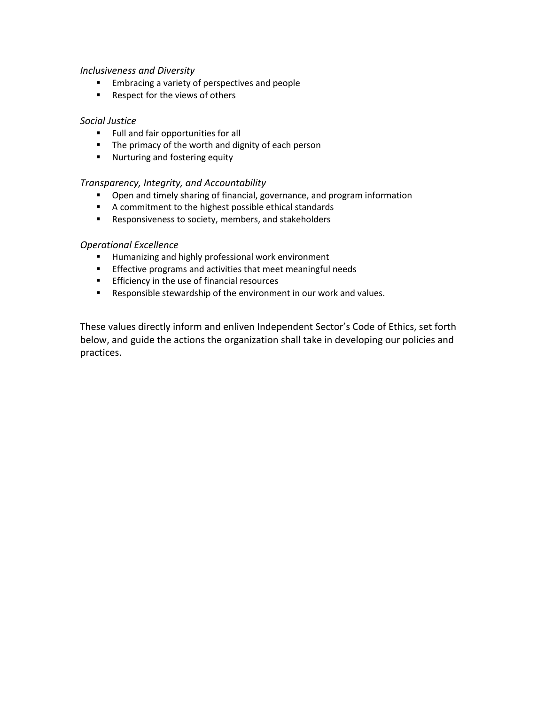#### *Inclusiveness and Diversity*

- Embracing a variety of perspectives and people
- Respect for the views of others

#### *Social Justice*

- Full and fair opportunities for all
- The primacy of the worth and dignity of each person
- Nurturing and fostering equity

#### *Transparency, Integrity, and Accountability*

- Open and timely sharing of financial, governance, and program information
- A commitment to the highest possible ethical standards
- Responsiveness to society, members, and stakeholders

#### *Operational Excellence*

- Humanizing and highly professional work environment
- **Effective programs and activities that meet meaningful needs**
- **Efficiency in the use of financial resources**
- Responsible stewardship of the environment in our work and values.

These values directly inform and enliven Independent Sector's Code of Ethics, set forth below, and guide the actions the organization shall take in developing our policies and practices.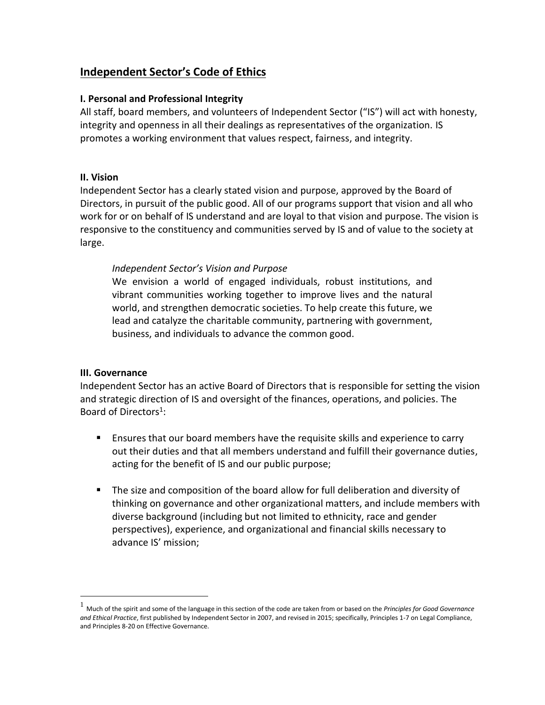# **Independent Sector's Code of Ethics**

### **I. Personal and Professional Integrity**

All staff, board members, and volunteers of Independent Sector ("IS") will act with honesty, integrity and openness in all their dealings as representatives of the organization. IS promotes a working environment that values respect, fairness, and integrity.

### **II. Vision**

Independent Sector has a clearly stated vision and purpose, approved by the Board of Directors, in pursuit of the public good. All of our programs support that vision and all who work for or on behalf of IS understand and are loyal to that vision and purpose. The vision is responsive to the constituency and communities served by IS and of value to the society at large.

### *Independent Sector's Vision and Purpose*

We envision a world of engaged individuals, robust institutions, and vibrant communities working together to improve lives and the natural world, and strengthen democratic societies. To help create this future, we lead and catalyze the charitable community, partnering with government, business, and individuals to advance the common good.

#### **III. Governance**

Independent Sector has an active Board of Directors that is responsible for setting the vision and strategic direction of IS and oversight of the finances, operations, and policies. The Board of Directors<sup>1</sup>:

- Ensures that our board members have the requisite skills and experience to carry out their duties and that all members understand and fulfill their governance duties, acting for the benefit of IS and our public purpose;
- The size and composition of the board allow for full deliberation and diversity of thinking on governance and other organizational matters, and include members with diverse background (including but not limited to ethnicity, race and gender perspectives), experience, and organizational and financial skills necessary to advance IS' mission;

<sup>1</sup> Much of the spirit and some of the language in this section of the code are taken from or based on the *Principles for Good Governance and Ethical Practice*, first published by Independent Sector in 2007, and revised in 2015; specifically, Principles 1-7 on Legal Compliance, and Principles 8-20 on Effective Governance.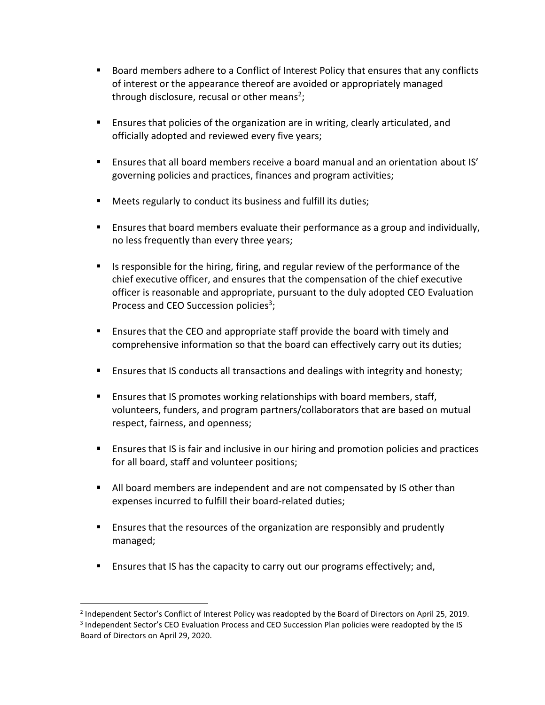- Board members adhere to a Conflict of Interest Policy that ensures that any conflicts of interest or the appearance thereof are avoided or appropriately managed through disclosure, recusal or other means<sup>2</sup>;
- Ensures that policies of the organization are in writing, clearly articulated, and officially adopted and reviewed every five years;
- Ensures that all board members receive a board manual and an orientation about IS' governing policies and practices, finances and program activities;
- Meets regularly to conduct its business and fulfill its duties;
- **E** Ensures that board members evaluate their performance as a group and individually, no less frequently than every three years;
- Is responsible for the hiring, firing, and regular review of the performance of the chief executive officer, and ensures that the compensation of the chief executive officer is reasonable and appropriate, pursuant to the duly adopted CEO Evaluation Process and CEO Succession policies<sup>3</sup>;
- Ensures that the CEO and appropriate staff provide the board with timely and comprehensive information so that the board can effectively carry out its duties;
- Ensures that IS conducts all transactions and dealings with integrity and honesty;
- **E** Ensures that IS promotes working relationships with board members, staff, volunteers, funders, and program partners/collaborators that are based on mutual respect, fairness, and openness;
- Ensures that IS is fair and inclusive in our hiring and promotion policies and practices for all board, staff and volunteer positions;
- All board members are independent and are not compensated by IS other than expenses incurred to fulfill their board-related duties;
- Ensures that the resources of the organization are responsibly and prudently managed;
- **E** Ensures that IS has the capacity to carry out our programs effectively; and,

<sup>2</sup> Independent Sector's Conflict of Interest Policy was readopted by the Board of Directors on April 25, 2019. <sup>3</sup> Independent Sector's CEO Evaluation Process and CEO Succession Plan policies were readopted by the IS Board of Directors on April 29, 2020.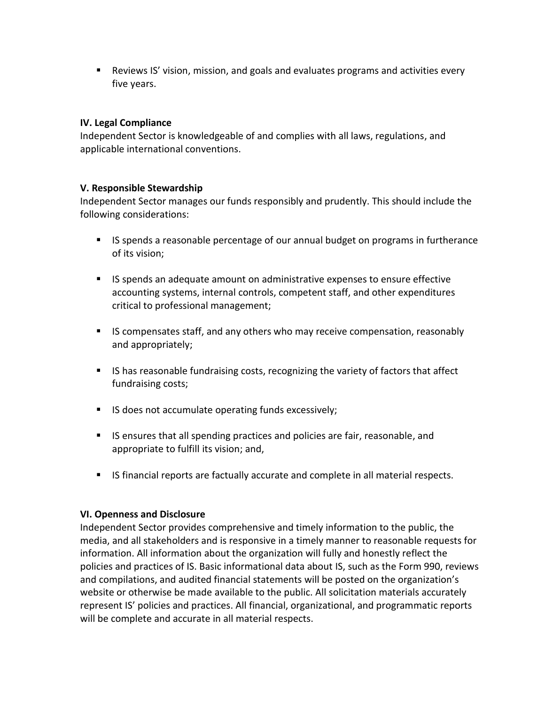■ Reviews IS' vision, mission, and goals and evaluates programs and activities every five years.

### **IV. Legal Compliance**

Independent Sector is knowledgeable of and complies with all laws, regulations, and applicable international conventions.

#### **V. Responsible Stewardship**

Independent Sector manages our funds responsibly and prudently. This should include the following considerations:

- IS spends a reasonable percentage of our annual budget on programs in furtherance of its vision;
- IS spends an adequate amount on administrative expenses to ensure effective accounting systems, internal controls, competent staff, and other expenditures critical to professional management;
- IS compensates staff, and any others who may receive compensation, reasonably and appropriately;
- IS has reasonable fundraising costs, recognizing the variety of factors that affect fundraising costs;
- IS does not accumulate operating funds excessively;
- IS ensures that all spending practices and policies are fair, reasonable, and appropriate to fulfill its vision; and,
- IS financial reports are factually accurate and complete in all material respects.

#### **VI. Openness and Disclosure**

Independent Sector provides comprehensive and timely information to the public, the media, and all stakeholders and is responsive in a timely manner to reasonable requests for information. All information about the organization will fully and honestly reflect the policies and practices of IS. Basic informational data about IS, such as the Form 990, reviews and compilations, and audited financial statements will be posted on the organization's website or otherwise be made available to the public. All solicitation materials accurately represent IS' policies and practices. All financial, organizational, and programmatic reports will be complete and accurate in all material respects.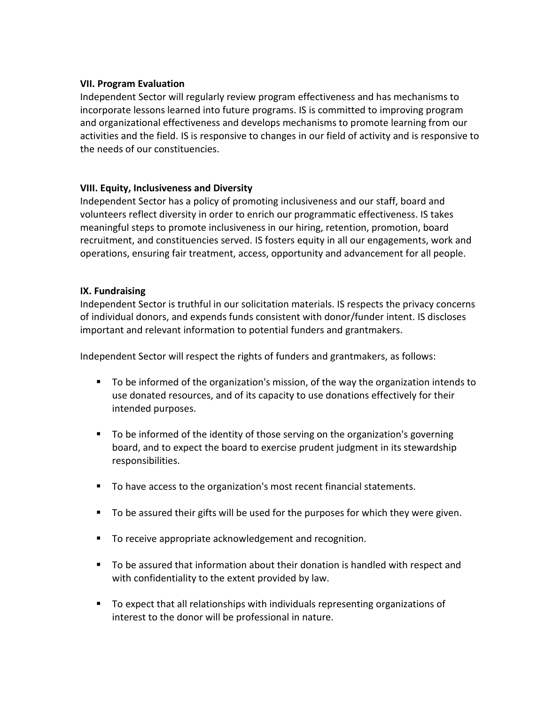#### **VII. Program Evaluation**

Independent Sector will regularly review program effectiveness and has mechanisms to incorporate lessons learned into future programs. IS is committed to improving program and organizational effectiveness and develops mechanisms to promote learning from our activities and the field. IS is responsive to changes in our field of activity and is responsive to the needs of our constituencies.

### **VIII. Equity, Inclusiveness and Diversity**

Independent Sector has a policy of promoting inclusiveness and our staff, board and volunteers reflect diversity in order to enrich our programmatic effectiveness. IS takes meaningful steps to promote inclusiveness in our hiring, retention, promotion, board recruitment, and constituencies served. IS fosters equity in all our engagements, work and operations, ensuring fair treatment, access, opportunity and advancement for all people.

### **IX. Fundraising**

Independent Sector is truthful in our solicitation materials. IS respects the privacy concerns of individual donors, and expends funds consistent with donor/funder intent. IS discloses important and relevant information to potential funders and grantmakers.

Independent Sector will respect the rights of funders and grantmakers, as follows:

- To be informed of the organization's mission, of the way the organization intends to use donated resources, and of its capacity to use donations effectively for their intended purposes.
- To be informed of the identity of those serving on the organization's governing board, and to expect the board to exercise prudent judgment in its stewardship responsibilities.
- To have access to the organization's most recent financial statements.
- To be assured their gifts will be used for the purposes for which they were given.
- To receive appropriate acknowledgement and recognition.
- To be assured that information about their donation is handled with respect and with confidentiality to the extent provided by law.
- To expect that all relationships with individuals representing organizations of interest to the donor will be professional in nature.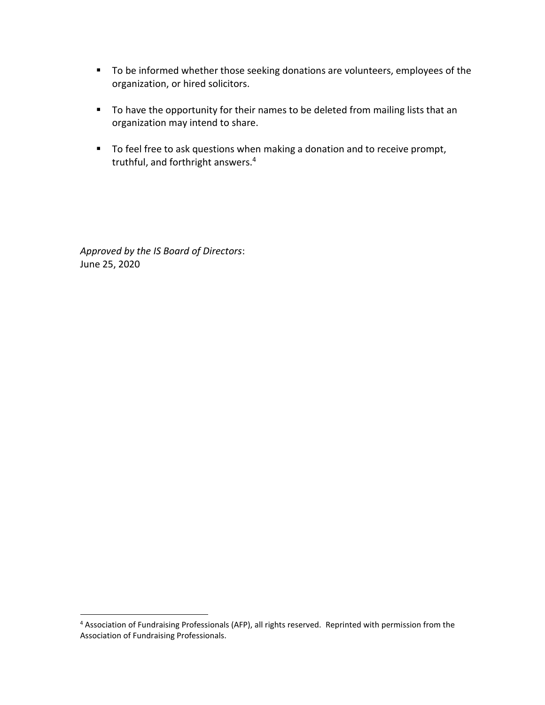- To be informed whether those seeking donations are volunteers, employees of the organization, or hired solicitors.
- To have the opportunity for their names to be deleted from mailing lists that an organization may intend to share.
- To feel free to ask questions when making a donation and to receive prompt, truthful, and forthright answers.<sup>4</sup>

*Approved by the IS Board of Directors*: June 25, 2020

<sup>&</sup>lt;sup>4</sup> Association of Fundraising Professionals (AFP), all rights reserved. Reprinted with permission from the Association of Fundraising Professionals.